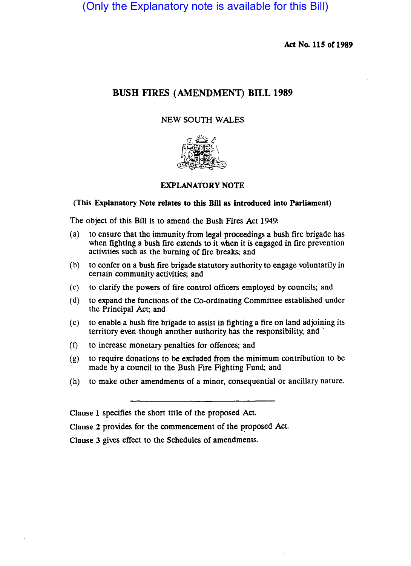(Only the Explanatory note is available for this Bill)

Act No. 115 or 1989

# BUSH FIRES (AMENDMENT) BILL 1989

# NEW SOUTH WALES



# EXPLANATORY NOTE

#### (This Explanatory Note relates to this Bill as introduced into Parliament)

The object of this Bill is to amend the Bush Fires Act 1949:

- (a) to ensure that the immunity from legal proceedings a bush fire brigade has when fighting a bush fire extends to it when it is engaged in fire prevention activities such as the burning of fire breaks; and
- (b) to confer on a bush fire brigade Statutory authority to engage voluntarily in certain community activities; and
- (c) to clarify the powers of fire control officers employed by councils; and
- (d) to expand the functions of the Co-ordinating Committee established under the Principal Act; and
- (c) to enable a bush fire brigade to assist in fighting a fire on land adjoining its territory even though another authority has the responsibility, and
- (f) to increase monetary penalties for offences; and
- (g) to require donations to be excluded from the minimum contribution to be made by a council to the Bush Fire Fighting Fund; and
- (h) to make other amendments of a minor, consequential or ancillary nature.

Clause 1 specifies the short title of the proposed Act.

Clause 2 provides for the commencement of the proposed Act.

Clause 3 gives effect to the Schedules of amendments.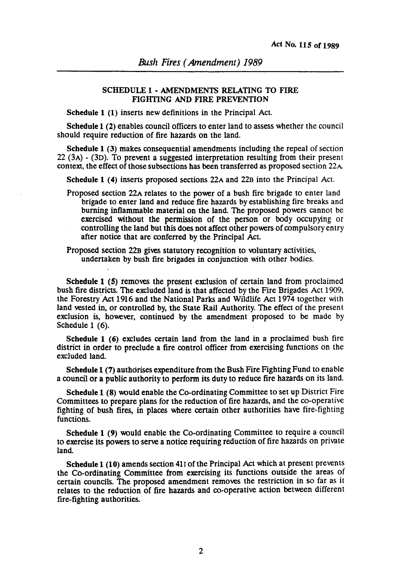### SCHEDULE 1 - AMENDMENTS RELATING TO FIRE FIGHTING AND FIRE PREVENTION

Schedule 1 (1) inserts new definitions in the Principal Act.

Schedule 1 (2) enables council officers to enter land to assess whether the council should require reduction of fire hazards on the land.

Schedule 1 (3) makes consequential amendments including the repeal of section 22 (3A) - (3D). To prevent a suggested interpretation resulting from their present context, the effect of those subsections has been transferred as proposed section 22A

Schedule 1 (4) inserts proposed sections 22A and 22B into the Principal Act.

Proposed section 22A relates to the power of a bush fire brigade to enter land brigade to enter land and reduce fire hazards by establishing fire breaks and burning inflammable material on the land. The proposed powers cannot be exercised without the permission of the person or body occupying or controlling the land but this does not affect other powers of compulsory entry after notice that are conferred by the Principal Act.

Proposed section 22B gives statutory recognition to voluntary activities, undertaken by bush fire brigades in conjunction with other bodies.

Schedule 1 (5) removes the present exclusion of certain land from proclaimed bush fire districts. The excluded land is that affected by the Fire Brigades Act 1909, the Forestry Act 1916 and the National Parks and Wildlife Act 1974 together with land vested in, or controlled by, the State Rail Authority. The effect of the present exclusion is, however, continued by the amendment proposed to be made by Schedule 1 (6).

Schedule 1 (6) excludes certain land from the land in a proclaimed bush fire district in order to preclude a fire control officer from exercising functions on the excluded land.

Schedule 1 (7) authorises expenditure from the Bush Fire Fighting Fund to enable a council or a public authority to perform its duty to reduce fire hazards on its land.

Schedule 1 (8) would enable the Co-ordinating Committee to set up District Fire ·Committees to prepare plans for the reduction of fire hazards, and the co-operative fighting of bush fires, in places where certain other authorities have fire-fighting functions.

Schedule 1 (9) would enable the Co-ordinating Committee to require a council to exercise its powers to serve a notice requiring reduction of fire hazards on private land.

Schedule 1 (10) amends section 411 of the Principal Act which at present prevents the Co-ordinating Committee from exercising its functions outside the areas of certain councils. The proposed amendment removes the restriction in so far as it relates to the reduction of fire hazards and co~operative action between different fire-fighting authorities.